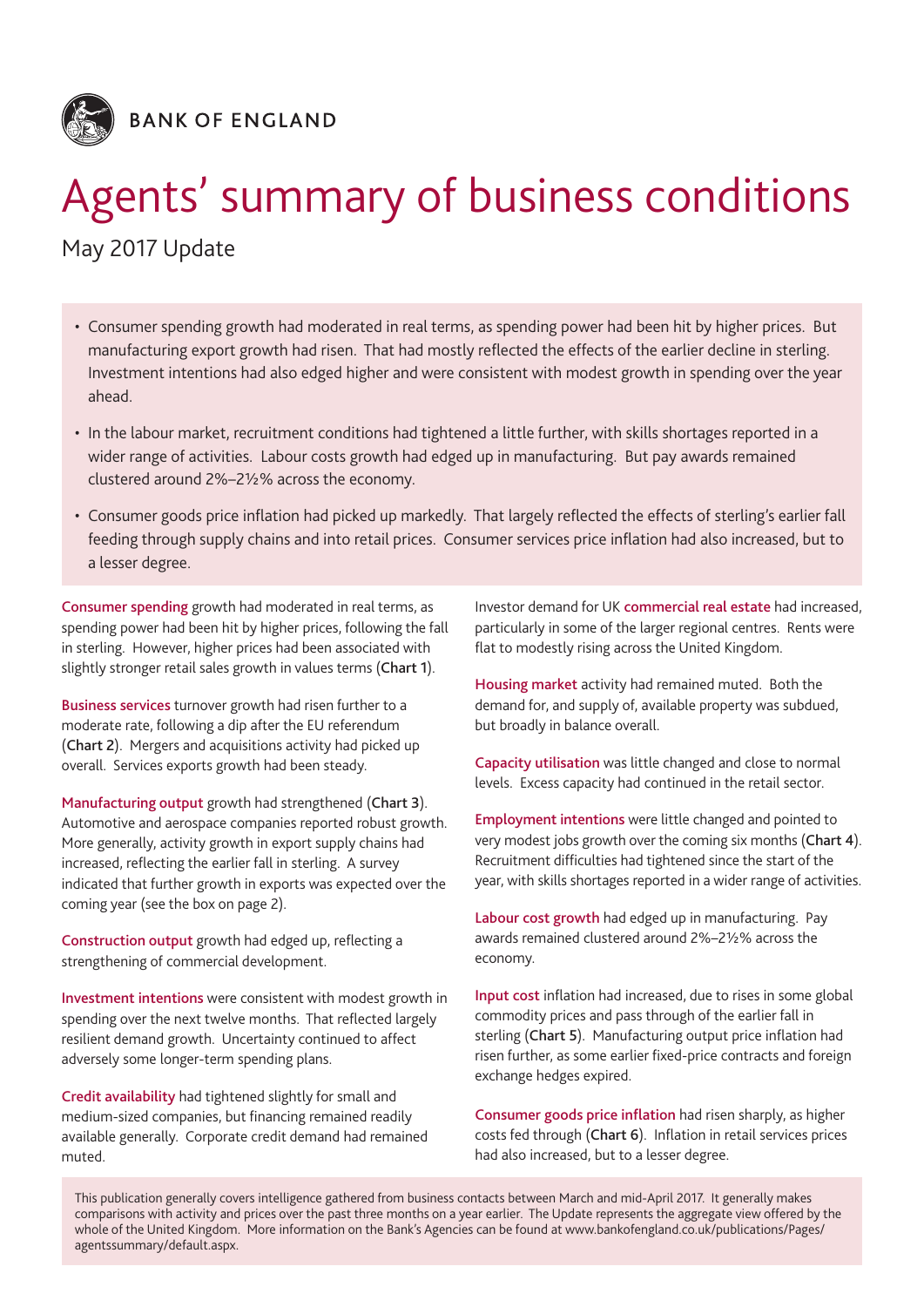

# Agents' summary of business conditions

May 2017 Update

- Consumer spending growth had moderated in real terms, as spending power had been hit by higher prices. But manufacturing export growth had risen. That had mostly reflected the effects of the earlier decline in sterling. Investment intentions had also edged higher and were consistent with modest growth in spending over the year ahead.
- In the labour market, recruitment conditions had tightened a little further, with skills shortages reported in a wider range of activities. Labour costs growth had edged up in manufacturing. But pay awards remained clustered around 2%–2½% across the economy.
- • Consumer goods price inflation had picked up markedly. That largely reflected the effects of sterling's earlier fall feeding through supply chains and into retail prices. Consumer services price inflation had also increased, but to a lesser degree.

Consumer spending growth had moderated in real terms, as spending power had been hit by higher prices, following the fall in sterling. However, higher prices had been associated with slightly stronger retail sales growth in values terms (Chart 1).

Business services turnover growth had risen further to a moderate rate, following a dip after the EU referendum (Chart 2). Mergers and acquisitions activity had picked up overall. Services exports growth had been steady.

Manufacturing output growth had strengthened (Chart 3). Automotive and aerospace companies reported robust growth. More generally, activity growth in export supply chains had increased, reflecting the earlier fall in sterling. A survey indicated that further growth in exports was expected over the coming year (see the box on page 2).

Construction output growth had edged up, reflecting a strengthening of commercial development.

Investment intentions were consistent with modest growth in spending over the next twelve months. That reflected largely resilient demand growth. Uncertainty continued to affect adversely some longer-term spending plans.

Credit availability had tightened slightly for small and medium‑sized companies, but financing remained readily available generally. Corporate credit demand had remained muted.

Investor demand for UK commercial real estate had increased, particularly in some of the larger regional centres. Rents were flat to modestly rising across the United Kingdom.

Housing market activity had remained muted. Both the demand for, and supply of, available property was subdued, but broadly in balance overall.

Capacity utilisation was little changed and close to normal levels. Excess capacity had continued in the retail sector.

Employment intentions were little changed and pointed to very modest jobs growth over the coming six months (Chart 4). Recruitment difficulties had tightened since the start of the year, with skills shortages reported in a wider range of activities.

Labour cost growth had edged up in manufacturing. Pay awards remained clustered around 2%–2½% across the economy.

Input cost inflation had increased, due to rises in some global commodity prices and pass through of the earlier fall in sterling (Chart 5). Manufacturing output price inflation had risen further, as some earlier fixed-price contracts and foreign exchange hedges expired.

Consumer goods price inflation had risen sharply, as higher costs fed through (Chart 6). Inflation in retail services prices had also increased, but to a lesser degree.

This publication generally covers intelligence gathered from business contacts between March and mid‑April 2017. It generally makes comparisons with activity and prices over the past three months on a year earlier. The Update represents the aggregate view offered by the whole of the United Kingdom. More information on the Bank's Agencies can be found at [www.bankofengland.co.uk/publications/Pages/](www.bankofengland.co.uk/publications/Pages/agentssummary/default.aspx) [agentssummary/default.aspx](www.bankofengland.co.uk/publications/Pages/agentssummary/default.aspx).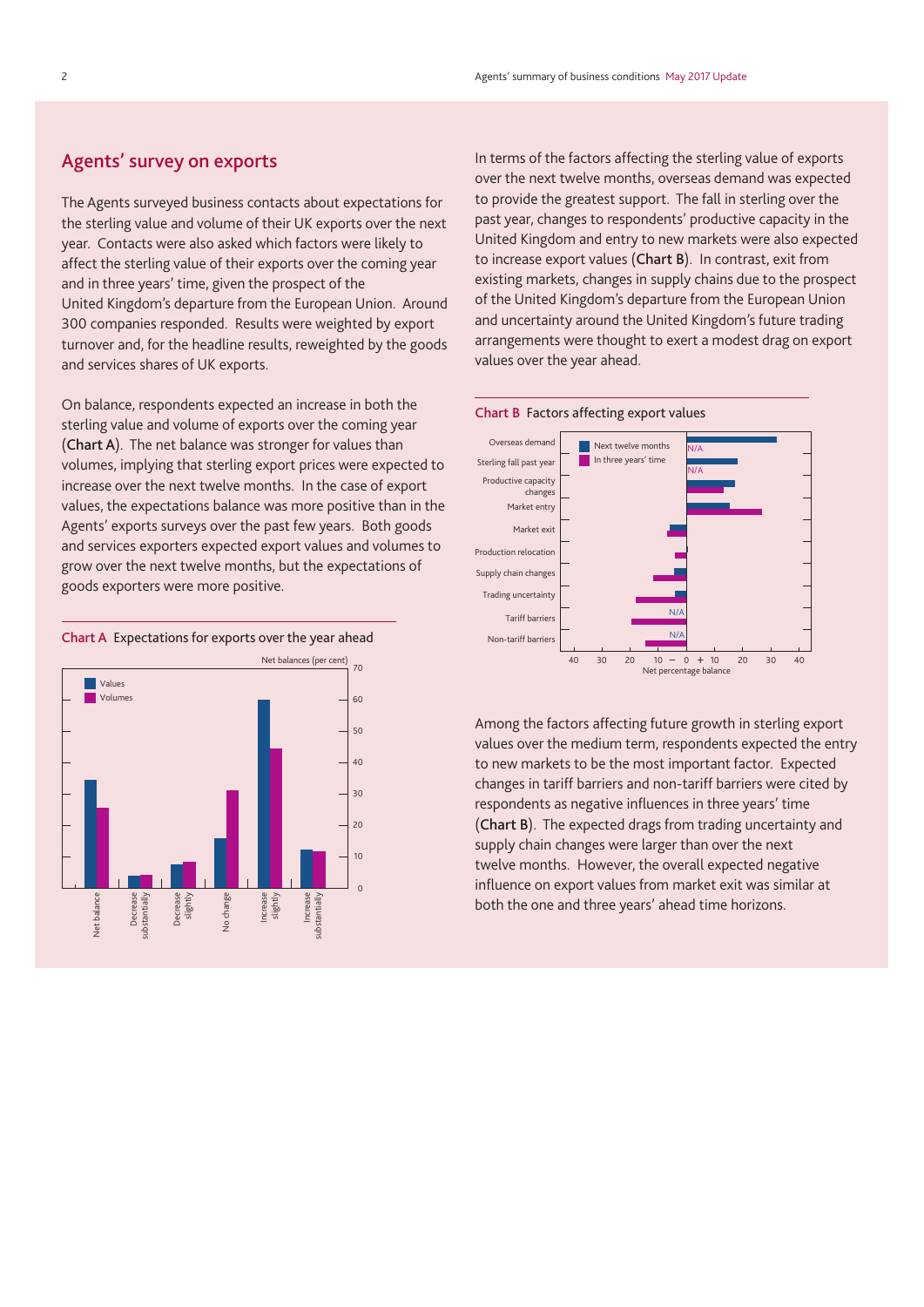## Agents' survey on exports

The Agents surveyed business contacts about expectations for the sterling value and volume of their UK exports over the next year. Contacts were also asked which factors were likely to affect the sterling value of their exports over the coming year and in three years' time, given the prospect of the United Kingdom's departure from the European Union. Around 300 companies responded. Results were weighted by export turnover and, for the headline results, reweighted by the goods and services shares of UK exports.

On balance, respondents expected an increase in both the sterling value and volume of exports over the coming year (Chart A). The net balance was stronger for values than volumes, implying that sterling export prices were expected to increase over the next twelve months. In the case of export values, the expectations balance was more positive than in the Agents' exports surveys over the past few years. Both goods and services exporters expected export values and volumes to grow over the next twelve months, but the expectations of goods exporters were more positive.





In terms of the factors affecting the sterling value of exports over the next twelve months, overseas demand was expected to provide the greatest support. The fall in sterling over the past year, changes to respondents' productive capacity in the United Kingdom and entry to new markets were also expected to increase export values (Chart B). In contrast, exit from existing markets, changes in supply chains due to the prospect of the United Kingdom's departure from the European Union and uncertainty around the United Kingdom's future trading arrangements were thought to exert a modest drag on export values over the year ahead.



Among the factors affecting future growth in sterling export values over the medium term, respondents expected the entry to new markets to be the most important factor. Expected changes in tariff barriers and non‑tariff barriers were cited by respondents as negative influences in three years' time (Chart B). The expected drags from trading uncertainty and supply chain changes were larger than over the next twelve months. However, the overall expected negative influence on export values from market exit was similar at both the one and three years' ahead time horizons.